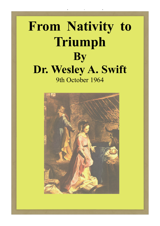# **From Nativity to Triumph By Dr. Wesley A. Swift** 9th October 1964

From Nativity to Triumph - Wesley Swift

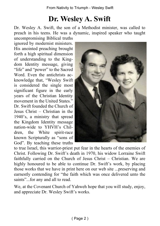### **Dr. Wesley A. Swift**

Dr. Wesley A. Swift, the son of a Methodist minister, was called to preach in his teens. He was a dynamic, inspired speaker who taught uncompromising Biblical truths

ignored by modernist ministers. His anointed preaching brought forth a high spiritual dimension of understanding to the Kingdom Identity message, giving "life" and "power" to the Sacred Word. Even the antichrists acknowledge that, "Wesley Swift is considered the single most significant figure in the early years of the Christian Identity movement in the United States." Dr. Swift founded the Church of Jesus Christ – Christian in the 1940's, a ministry that spread the Kingdom Identity message nation-wide to YHVH's Children, the White spirit-race known Scripturally as "sons of God". By teaching these truths



to true Israel, this warrior-priest put fear in the hearts of the enemies of Christ. Following Dr. Swift's death in 1970, his widow Lorraine Swift faithfully carried on the Church of Jesus Christ – Christian. We are highly honoured to be able to continue Dr. Swift's work, by placing those works that we have in print here on our web site ...preserving and earnestly contending for "the faith which was once delivered unto the saints"...for any and all to read.

We, at the Covenant Church of Yahweh hope that you will study, enjoy, and appreciate Dr. Wesley Swift's works.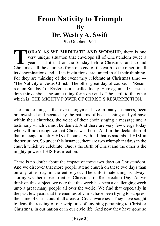### **From Nativity to Triumph By**

**Dr. Wesley A. Swift**

9th October 1964

**TODAY AS WE MEDITATE AND WORSHIP**, there is one very unique situation that envelops all of Christendom twice a year. That it that on the Sunday before Christmas and around Christmas, all the churches from one end of the e **TODAY AS WE MEDITATE AND WORSHIP**, there is one very unique situation that envelops all of Christendom twice a year. That it that on the Sunday before Christmas and around its denominations and all its institutions, are united in all their thinking. For they are thinking of the event they celebrate at Christmas time --- 'The Nativity of Jesus Christ.' The other great day of course, is 'Resurrection Sunday,' or Easter, as it is called today. Here again, all Christendom thinks about the same thing form one end of the earth to the other which is 'THE MIGHTY POWER OF CHRIST'S RESURRECTION'

The unique thing is that even clergymen have in many instances, been brainwashed and negated by the patterns of bad teaching and yet have within their churches, the voice of their choir singing a message and a testimony which cannot be denied. And there are very few clergy today who will not recognize that Christ was born. And in the declaration of that message, identify HIS of course, with all that is said about HIM in the scriptures. So under this instance, there are two triumphant days in the church which we celebrate. One is the Birth of Christ and the other is the mighty power of HIS Resurrection.

There is no doubt about the impact of these two days on Christendom. And we discover that more people attend church on these two days than on any other day in the entire year. The unfortunate thing is always stormy weather close to either Christmas of Resurrection Day. As we think on this subject, we note that this week has been a challenging week unto a great many people all over the world. We find that especially in the past few years that the enemies of Christ have been trying to suppress the name of Christ out of all areas of Civic awareness. They have sought to deny the reading of our scriptures of anything pertaining to Christ or Christmas, in our nation or in our civic life. And now they have gone so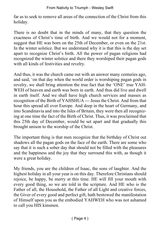far as to seek to remove all areas of the connection of the Christ from this holiday.

There is no doubt that in the minds of many, that they question the exactness of Christ's time of birth. And we would not for a moment, suggest that HE was born on the 25th of December, or even on the 21st. In the winter solstice. But we understand why it is that this is the day set apart to recognize Christ's birth. All the power of pagan religions had recognized the winter solstice and there they worshiped their pagan gods with all kinds of festivities and revelry.

And thus, it was the church came out with an answer many centuries ago, and said, 'on that day when the world order is worshiping pagan gods in revelry, we shall bring attention the true fact that the 'ONE' true YAH-WEH of heaven and earth was born in earth. And thus did live and dwell in earth itself. And we shall have high church services and masses as recognition of the Birth of YAHSHUA --- Jesus the Christ. And from that hour this spread all over Europe. And deep in the heart of Germany, and into Scandinavia and into the Isles of Britain, they were then all recognizing at one time the fact of the Birth of Christ. Thus, it was proclaimed that this 25th day of December, would be set apart and that gradually this brought unison to the worship of the Christ.

The important thing is that men recognize that the birthday of Christ out shadows all the pagan gods on the face of the earth. There are some who say that it is such a sober day that should not be filled with the pleasures and the happiness and the joy that they surround this with, as though it were a great holiday.

My friends, you are the children of Isaac, the sons of laughter. And the highest holiday in all your year is on this day. Therefore Christians should rejoice, be happy, be merry at this time. HE will fill your mouth with every good thing, so we are told in the scripture. And HE who is the Father of all, the Household, the Father of all Light and creative forces, the Giver of every good and perfect gift, hath bestowed the manifestation of Himself upon you as the embodied YAHWEH who was not ashamed to call you HIS kinsmen.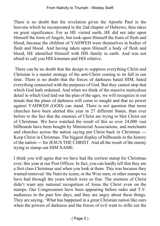There is no doubt that the revelation given the Apostle Paul in the heavens which he incorporated in the 2nd chapter of Hebrews, thus takes on great significance. For as HE visited earth, HE did not take upon Himself the form of Angels, but took upon Himself the form of flesh and blood, because the children of YAHWEH were themselves in bodies of flesh and blood. And having taken upon Himself a body of flesh and blood, HE identified Himself with HIS family in earth. And was not afraid to call you HIS kinsmen and HIS relative.

 There can be no doubt that the design to suppress everything Christ and Christian is a master strategy of the anti-Christ coming to its full in our time. There is no doubt that the forces of darkness hated HIM, hated everything connected with the purposes of God. But they cannot stop that which God hath ordained. And when we think of the massive meticulous detail in which God laid out the plan of the ages, we will recognize in our minds that the plans of darkness will come to naught and that no power against YAHWEH (GOD) can stand. There is not question that more churches have been alerted this year in 27 different States, than ever before to the fact that the enemies of Christ are trying to blot Christ out of Christmas. We have watched the result of this as over 24,000 vast billboards have been bought by Ministerial Associations, and merchants and churches across the nation saying put Christ back in Christmas --- Keep Christ in Christmas. The biggest display of billboards in the history of the nation --- for JESUS THE CHRIST. And all the result of the enemy trying to stamp out HIM NAME.

I think you will agree that we have had the sorriest stamp for Christmas ever, this year at our Post Offices. In fact, you can hardly tell that they are a first class Christmas seal when you look at them. This was because they wanted removed 'the Nativity scene, or the Wise men, or other stamps we have had through the years which were so fine. The enemies of Christ didn't want any national recognition of Jesus the Christ even on the stamps. Our Congressmen have been appearing before radio and T.V. audiences in the past few days, and they are angry about these things. They are saying, 'What has happened in a great Christian nation like ours when the powers of darkness and the forces of evil want to stifle out the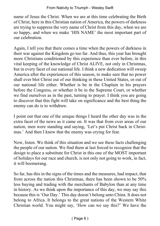name of Jesus the Christ. When we are at this time celebrating the Birth of Christ, here in this Christian nation of America, the powers of darkness are trying to suppress the very name of Christ from this day, when we are so happy, and when we make 'HIS NAME' the most important part of our celebration.

Again, I tell you that there comes a time when the powers of darkness in their war against the Kingdom go too far. And thus, this year has brought more Christians conditioned by this experience than ever before, in this vital keeping of the knowledge of Christ ALIVE, not only in Christmas, but in every facet of our national life. I think a new dedication will sweep America after the experiences of this season, to make sure that no power shall ever blot Christ out of our thinking in these United States, or out of our national life either. Whether is be in the Chaplain in his prayers before the Congress, or whether it be in the Supreme Court, or whether we find ourselves as in the past, turning to prayer. I think you are going to discover that this fight will take on significance and the best thing the enemy can do is to withdraw.

I point out that one of the unique things I heard the other day was in the extra facet of the news as it came on. It was that from over areas of our nation, men were standing and saying, 'Let's put Christ back in Christmas.' And then I knew that the enemy was crying for fear.

Now, listen. We think of this situation and we see these facts challenging the people of our nation. We find them at last forced to recognize that the design to place a substitute for Christ in this one of the MOST important of holidays for our race and church, is not only not going to work, in fact, it will boomerang.

So far, has this in the signs of the times and the measures, had impact, that from across the nation this Christmas, there has been shown to be 50% less buying and trading with the merchants of Babylon than at any time in history. As we think upon the importance of this day, we may say this because this is 'Our Day.' This day doesn't belong unto China. It does not belong to Africa. It belongs to the great nations of the Western White Christian world. You might say, 'How can we say this?' We have the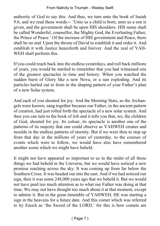authority of God to say this. And thus, we turn unto the book of Isaiah 9:6, and we read these words:-- 'Unto us a child is born, unto us a son is given, and the government shall be upon HIS shoulders. HIS name shall be called Wonderful, counsellor, the Mighty God, the Everlasting Father, the Prince of Peace.' Of the increase of HIS government and Peace, there shall be no end. Upon the throne of David to establish it and order it. And establish it with Justice henceforth and forever. And the zeal of YAH-WEH shall perform this.

If you could reach back into the endless yesterdays, and roll back millions of years, you would be startled to remember that you had witnessed one of the greatest spectacles in time and history. When you watched the sudden burst of Glory like a new Nova, or a sun exploding. And its particles hurled out to form in the shaping pattern of your Father's plan of a new Solar system.

And each of you shouted for joy. And the Morning Stars, as the Archangels were known, sang together because our Father, in the ancient pattern of creation, had just rolled forth the spectacle of a new solar system. And then you can turn to the book of Job and it tells you that, we, the children of God, shouted for joy. Its colour, its spectacle is another one of the patterns of its majesty that one could observe as YAHWEH creates and moulds in the endless patterns of eternity. But if we were then to step up from that day in the millions of years of yesterday, to the courses of events which were to follow, we would have also have remembered another scene which we might have beheld.

It might not have appeared so important to us in the midst of all those things we had beheld in the Universe, but we would have noticed a new promise reaching across the sky. It was coming up from far below the Southern Cross. It was headed out into the east. And if we had noticed our sign, then it was some 248,000 years ago that we beheld it. But we would not have paid too much attention as to what our Father was doing at that time. We may not have thought too much about it at that moment, except to admire it. But in the great timetable of YAHWEH, HE was starting a sign in the heavens for a future date. And this comet which was referred to by Enoch as 'the Sword of the LORD,' for this is how comets are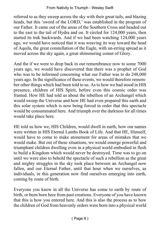referred to as they sweep across the sky with their great tails, and blazing heads, but this 'sword of the LORD,' was established in the program of our Father. It came out of the areas of the Southern Cross and headed out to the east to the tail of Hydra and on. It circled for 124,000 years, then started its trek backwards. And if we had been watching 124,000 years ago, we would have noticed that it was weaving its way toward the head of Aquila, the great constellation of the Eagle, with un-erring spread as it moved across the sky again, a great shimmering comet of Glory.

And the if we were to drop back in our remembrance now to some 7000 years ago, we would have discovered that there was a prophet of God who was to be informed concerning what our Father was to do 248,000 years ago. In the significance of these events, we would therefore remember other things which had been told to us. As to how we had stood in HIS presence, children of HIS Spirit, before even this cosmic order was framed. How HE had told us about the rebellion of an Archangel which would sweep the Universe and how HE had even prepared this earth and this solar system which is now being forced in order that this spectacle would be consummated here. And triumph over the darkness for all times would take place here.

HE told us how we, HIS Children, would dwell in earth, how our names were written in HIS Eternal Lambs Book of Life. And that HE, Himself, would have to come to make atonement for areas of mistakes that we would make. But out of these situations, we would emerge powerful and triumphant children dwelling even in a physical world embodied in flesh to build a Kingdom which would never be destroyed. Time was to go on until we were also to behold the spectacle of such a rebellion as the great and mighty struggles in the sky took place between an Archangel now fallen, and our Eternal Father, until that hour when we ourselves, as individuals, in this generation now find ourselves emerging into earth, coming by route of birth.

Everyone you know in all the Universe has come to earth by route of birth, or been born here from past creations. Everyone of you have known that this is how you entered here. And this is also the process as to how the children of God from heavenly orders were born into a physical world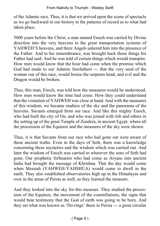of the Adamic race. Thus, it is that we arrived upon the scene of spectacle as we go backward in our history to the patterns of record as to what had taken place.

5000 years before the Christ, a man named Enoch was carried by Divine direction into the very heavens in the great transportation systems of YAHWEH'S heavens, and there Angels ushered him into the presence of the Father. And to his remembrance, was brought back those things his Father had said. And he was told of certain things which would transpire. How men would know that the hour had come when the promise which God had made to our Adamic forefathers --- that the very seed of the woman our of this race, would bruise the serpents head, and evil and the Dragon would be broken.

Thus, this man, Enoch, was told how the measures would be understood. How men would know the time had come. How they could understand that the visitation of YAHWEH was close at hand. And with the measures of this wisdom, we became studiers of the sky and the panorama of the heavens. Savants emerged from our race. And like this mighty Enoch, who had built the city of On, and who was joined with Job and others in the setting up of the great Temple of Zendera, in ancient Egypt, where all the procession of the Equinox and the measures of the sky were shown.

Thus, it is that Savants from our race who had gone out were aware of these ancient truths. Even in the days of Seth, there was a knowledge concerning these mysteries and the wisdom which was carried out. And later the wisdom of Enoch was carried to wherever the sons of Seth had gone. Our prophetic forbearers who had come as Aryans into ancient India had brought the message of Khrishna. That the day would come when Messiah (YAHWEH-YAHSHUA) would come to dwell in the earth. They also established observatories high up in the Himalayas and over in the areas of Persia as well, as they learned the measure.

And they looked into the sky for this measure. They studied the procession of the Equinox, the movement of the constellations, the signs that would bear testimony that the God of earth was going to be born. And they set what was known as 'Do-rings' there in Persia --- a great circular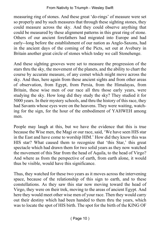measuring ring of stones. And these great 'do-rings' of measure were set so properly and by such measures that through these sighting stones, they could measure across the sky. And they could observe anything that could be measured by these alignment patterns in this great ring of stone. Others of our ancient forefathers had migrated into Europe and had early--long before the establishment of our nation as Anglo-Saxons, had in the ancient days of the coming of the Picts, set out at Avebury in Britain another great circle of stones which today we call Stonehenge.

And these sighting grooves were set to measure the progression of the stars thru the sky, the movement of the planets, and the ability to chart the course by accurate measure, of any comet which might move across the sky. And thus, here again from these ancient sights and from other areas of observation, from Egypt, from Persia, from the Himalayas, from Britain, these wise men of our race all thru those early years, were studying the sky. How long did they study the sky? They studied it for 5000 years. In their mystery schools, and thru the history of this race, they had Savants whose eyes were on the heavens. They were waiting, watching for the sign, for the hour of the embodiment of YAHWEH among men.

People may laugh at this, but we have the evidence that this is true because the Wise men, the Magi or our race, said, 'We have seen HIS star in the East and have come to worship HIM.' How did they know this was HIS star? What caused them to recognize that 'this Star,' this great spectacle which had drawn them for two solid years as they now watched the movement of this Star from the head of Aquila, to the head of Virgo? And where as from the perspective of earth, from earth alone, it would thus be visible, would have this significance.

Thus, they watched for these two years as it moves across the intervening space, because of the relationship of this sign to earth, and to these constellations. As they saw this star now moving toward the head of Virgo, they were on their trek, moving to the areas of ancient Egypt. And here they would meet other wise men of your race. Then they would carry out their destiny which had been handed to them thru the years, which was to locate the spot of HIS birth. The spot for the birth of the KING OF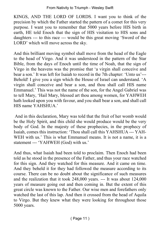#### From Nativity to Triumph - Wesley Swift

KINGS, AND THE LORD OF LORDS. I want you to think of the precision by which the Father started the pattern of a comet for this very purpose. I want you to remember that 5000 years before HIS birth in earth, HE told Enoch that the sign of HIS visitation to HIS sons and daughters --- to this race --- would be this great moving 'Sword of the LORD' which will move across the sky.

And this brilliant moving symbol shall move from the head of the Eagle to the head of Virgo. And it was understood in the pattern of the Star Bible, from the days of Enoch until the time of Noah, that the sign of Virgo in the heavens was the promise that 'a virgin shall conceive and bear a son.' It was left for Isaiah to record in the 7th chapter: 'Unto us'--- Behold! I give you a sign which the House of Israel can understand. 'A virgin shall conceive and bear a son, and thou shall call HIS name Emmanuel.' This was not the name of the son, for the Angel Gabriel was to tell Mary, 'Hail Mary, blessed art thou among women, for YAHWEH hath looked upon you with favour, and you shall bear a son, and shall call HIS name YAHSHUA.'

 And in this declaration, Mary was told that the fruit of her womb would be the Holy Spirit, and this child she would produce would be the very body of God. In the majesty of these prophecies, in the prophecy of Isaiah, comes this instruction: 'Thou shall call this YAHSHUA --- YAH-WEH with us.' This is what Emmanuel means. It is not a name, it is a statement --- 'YAHWEH (God) with us.'

And thus, what Isaiah had been told to proclaim. Then Enoch had been told as he stood in the presence of the Father, and thus your race watched for this sign. And they watched for this measure. And it came on time. And they beheld it for they had followed the measure according to its course. There can be no doubt about the significance of such measures and the realization that it took 248,000 years. --- It was about 124,000 years of measure going out and then coming in. But the extent of this great circle was known to the Father. Our wise men and forefathers only watched the last of this lap. And then it crossed from the head of Aquila to Virgo. But they knew what they were looking for throughout those 5000 years.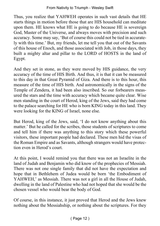Thus, you realize that YAHWEH operates in such vast details that HE starts things in motion before those that are HIS household can meditate upon them. HE knows what HE is going to do because HE is sovereign God, Master of the Universe, and always moves with precision and such accuracy. Some may say, 'But of course this could not be tied in accurately with this time.' But, my friends, let me tell you that out of the Savants of this house of Enoch, and those associated with Job, in those days, they built a mighty altar and pillar to the LORD of HOSTS in the land of Egypt.

And they set in stone, as they were moved by HIS guidance, the very accuracy of the time of HIS Birth. And thus, it is that it can be measured to this day in that Great Pyramid of Giza. And there is to this hour, this measure of the time of HIS birth. And astronomically in the signs of the Temple of Zendera, it had been also inscribed. So our forbearers measured the stars and the time with accuracy which became quite clear. Wise men standing in the court of Herod, king of the Jews, said they had come to the palace searching for HE who is born KING today in this land. They were looking for the KING of Israel, none else.

But Herod, king of the Jews, said, 'I do not know anything about this matter.' But he called for the scribes, those students of scriptures to come and tell him if there was anything to this story which these powerful visitors, these important people had declared. These men hid the visas of the Roman Empire and as Savants, although strangers would have protection even in Herod's court.

At this point, I would remind you that there was not an Israelite in the land of Judah and Benjamin who did know of the prophecies of Messiah. There was not one single family that did not have the expectation and hope that in Bethlehem of Judea would be born 'the Embodiment of YAHWEH,' as Messiah. There was not a girl in all the House of Judah, dwelling in the land of Palestine who had not hoped that she would be the chosen vessel who would bear the body of God.

Of course, in this instance, it just proved that Herod and the Jews knew nothing about the Messiahship, or nothing about the scriptures. For they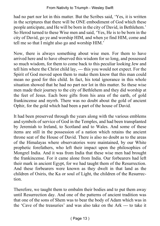had no part nor lot in this matter. But the Scribes said, 'Yes, it is written in the scriptures that there will be ONE embodiment of God which these people anticipate, and He will be born in the city of David, in Bethlehem.' So Herod turned to these Wise men and said, 'Yes, He is to be born in the city of David, go ye and worship HIM, and when ye find HIM, come and tell me so that I might also go and worship HIM.'

Now, there is always something about wise men. For them to have arrived here and to have observed this wisdom for so long, and possessed so much wisdom, for them to come back to this peculiar looking Jew and tell him where the Christ child lay, --- this you would not expect. For the Spirit of God moved upon them to make them know that this man could mean no good for this child. In fact, his total ignorance in this whole situation showed that he had no part nor lot in this matter. So these wise men made their journey to the city of Bethlehem and they did worship at the feet of Jesus. Each bore gifts from his area of the earth, of gold frankincense and myrrh. There was no doubt about the gold of ancient Ophir, for the gold which had been a part of the house of David.

It had been preserved through the years along with the various emblems and symbols of service of God in the Temples, and had been transplanted by Jeremiah to Ireland, to Scotland and to Wales. And some of these items are still in the possession of a nation which retains the ancient throne seat of the House of David. There is also no doubt as to the areas of the Himalayas where observatories were maintained, by our White prophetic forefathers, who left their impact upon the philosophies of Mongrel India. And it was from India that these wise men had brought the frankincense. For it came alone from India. Our forbearers had left their mark in ancient Egypt, for we had taught them of the Resurrection. And these forbearers were known as they dwelt in that land as the children of Osiris, the Ka or soul of Light, the children of the Resurrection.

Therefore, we taught them to embalm their bodies and to put them away until Resurrection day. And one of the patterns of ancient tradition was that one of the sons of Shem was to bear the body of Adam which was in the 'Cave of the treasuries' and was also take on the Ark --- to take it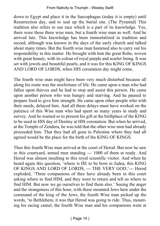down to Egypt and place it in the Sarcophagus (today it is empty) until Resurrection day, and to seal up the burial site. (The Pyramid) This tradition also refers to our race which is a part of its knowledge. Yes, there were these three wise men, but a fourth wise man as well. And he arrived late. This knowledge has been immortalized in tradition and record, although was known in the days of the early church and talked about many times. But the fourth wise man hastened also to carry out his responsibility in this matter. He brought with him the great Robe, woven with great beauty, with its colour of royal purple and scarlet lining. It was set with jewels and beautiful pearls, and it was for this KING OF KINGS AND LORD OF LORDS, when HIS coronation day might come.

The fourth wise man might have been very much disturbed because all along his route was the misfortune of life. He came upon a man who had fallen upon thieves and he had to stop and assist this person. He came upon another person who was hungry and starving. And he paused to prepare food to give him strength. He came upon other people who with their needs, delayed him. And all these delays must have worked on the patience of this Wise man who had spent so many years in study and survey. And he wanted so to present his gift at the birthplace of the KING to be used in HIS day of Destiny at HIS coronation. But when he arrived, at the Temple of Zendera, he was told that the other wise men had already proceeded him. That they had all gone to Palestine where they had all agreed would be the place for the birth of the KING OF KINGS.

Thus this fourth Wise man arrived at the court of Herod. But now he saw in this courtyard, armed men standing --- 1000 of them at ready. And Herod was almost insulting to this royal scientific visitor. And when he heard again this question, 'where is HE to be born in Judea, this KING OF KINGS AND LORD OF LORDS, --- THE VERY GOD,'--- Herod exploded, 'Three companions of thee have already been in this court asking where to find HIM, and they were to return and tell us where to find HIM. But now we go ourselves to find them also.' Seeing the anger and the strangeness of this hour, with these mounted Jews here under the command of the king of the Jews, the fourth Wise man picked up the words, 'to Bethlehem, it was that Herod was going to ride. Thus, mounting his racing camel, the fourth Wise man and his companions went at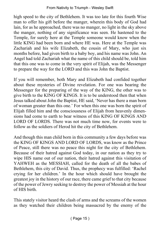high speed to the city of Bethlehem. It was too late for this fourth Wise man to offer his gift before the manger, wherein this body of God had lain, for as he approached, there was no manger, no light in the sky above the manger, nothing of any significance was seen. He hastened to the Temple, for surely here at the Temple someone would know when the little KING had been born and where HE was. Here at the Temple was Zachariah and his wife Elizabeth, the cousin of Mary, who just six months before, had given birth to a baby boy, and his name was John. An Angel had told Zachariah what the name of this child should be, told him that this one was to come in the very spirit of Elijah, was the Messenger to prepare the way for the LORD and this was John the Baptist.

If you will remember, both Mary and Elizabeth had confided together about these mysteries of Divine revelation. For one was bearing the Messenger for the preparing of the way of the KING, the other was to give birth to the KING OF KINGS. It is to be understood then that when Jesus talked about John the Baptist, HE said, 'Never has there a man born of woman greater than this one.' For when this one was born the spirit of Elijah filled him and the consciousness of Elijah from heavenly dimensions had come to earth to bear witness of this KING OF KINGS AND LORD OF LORDS. There was not much time now, for events were to follow as the soldiers of Herod hit the city of Bethlehem.

And though this man child born in this community a few days before was the KING OF KINGS AND LORD OF LORDS, was know as the Prince of Peace, still there was no peace this night for the city of Bethlehem. Because of their hatred against God today, in our nation as they try to wipe HIS name out of our nation, their hatred against this visitation of YAHWEH as the MESSIAH, called for the death of all the babes of Bethlehem, this city of David. Thus, the prophecy was fulfilled: 'Rachel crying for her children.' In the hour which should have brought the greatest joy in the history of our race, there came grief to that city because of the power of Jewry seeking to destroy the power of Messiah at the hour of HIS birth.

This stately visitor heard the clash of arms and the screams of the women as they watched their children being massacred by the enemy of the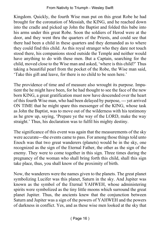Kingdom. Quickly, the fourth Wise man put on this great Robe he had brought for the coronation of Messiah, the KING, and he reached down into the cradle and picked up John the Baptist and folded this babe into his arms under this great Robe. Soon the soldiers of Herod were at the door, and they went thru the quarters of the Priests, and could see that there had been a child in these quarters and they demanded as to where they could find this child. As this royal stranger who they dare not touch stood there, his companions stood outside the Temple and neither would have anything to do with these men. But a Captain, searching for the child, moved close to the Wise man and asked, 'where is this child?' Thus taking a beautiful pearl from the pocket of the Robe, the Wise man said, 'Take this gift and leave, for there is no child to be seen here.'

The providence of time and of measure also wrought its purpose. Impatient the he might have been, for he had thought to see the face of the new born KING, a great gratification must now have descended over the heart of this fourth Wise man, who had been delayed by purpose, --- yet arrived ON TIME that he might spare this messenger of the KING, whose task as John the Baptist, was to move out of the wilderness with his testimony as he grew up, saying, 'Prepare ye the way of the LORD, make the way straight.' Thus, his declaration was to fulfil his mighty destiny.

The significance of this event was again that the measurements of the sky were accurate---the events came to pass. For among those things told unto Enoch was that two great wanderers (planets) would be in the sky, one recognized as the sign of the Eternal Father, the other as the sign of the enemy. They were to come together in this sign. Three times during the pregnancy of the woman who shall bring forth this child, shall this sign take place, thus, you shall know of the proximity of birth.

Now, the wanderers were the names given to the planets. The great planet symbolizing Lucifer was this planet, Saturn in the sky. And Jupiter was known as the symbol of the Eternal YAHWEH, whose administering spirits were symbolized as the tiny little moons which surround the great planet Jupiter. Thus, the ancients knew that the conjunction between Saturn and Jupiter was a sign of the powers of YAHWEH and the powers of darkness in conflict. Yes, and as these wise men looked at the sky that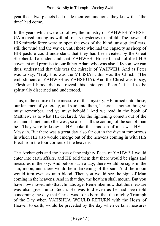year those two planets had made their conjunctions, they knew that 'the time' had come.

In the years which were to follow, the ministry of YAHWEH-YAHSH-UA moved among us with all of its mysteries to unfold. The power of HIS miracle force were to open the eyes of the blind, unstop deaf ears, still the wind and the waves, until those who had the capacity as sheep of HIS pasture could understand that they had been visited by the Great Shepherd. To understand that YAHWEH, Himself, had fulfilled HIS covenant and promise to our father Adam who was also HIS son, we can thus, understand that this was the miracle of YAHWEH. And as Peter was to say, 'Truly this was the MESSIAH, this was the Christ.' (The embodiment of YAHWEH as YAHSHUA). And the Christ was to say, 'Flesh and blood did not reveal this unto you, Peter.' It had to be spiritually discerned and understood.

Thus, in the course of the measure of this mystery, HE turned unto those, our kinsmen of yesterday, and said unto them, 'There is another thing ye must remember, and ye must behold.' And we read in the book of Matthew, as to what HE declared, 'As the lightening cometh out of the east and shineth unto the west, so also shall the coming of the son of man be.' They were to know as HE spoke that this son of man was HE --- Messiah. But there was a great day also far out in the distant tomorrows in which HE also would emerge out of the heavens coming in with HIS Elect from the four corners of the heavens.

The Archangels and the hosts of the mighty fleets of YAHWEH would enter into earth affairs, and HE told them that there would be signs and measures in the sky. And before such a day, there would be signs in the sun, moon, and there would be a darkening of the sun. And the moon would turn even as unto blood. Then you would see the sign of Man coming in the heavens. And in that day, the heathen shall mourn. But you have now moved into that climatic age. Remember now that this measure was also given unto Enoch. He was told even as he had been told concerning the day that Christ was to be born, that the mighty Triumph of the Day when YAHSHUA WOULD RETURN with the Hosts of Heaven to earth, would be preceded by the day when certain measures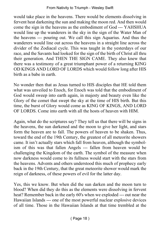would take place in the heavens. There would be elements dissolving in fervent heat darkening the sun and making the moon red. And then would come the sign in the heavens as the embodiment of God --- YAHSHUA would line up the wanderers in the sky in the sign of the Water Man of the heavens --- pouring out. We call this sign Aquarius. And thus the wanderers would line out across the heavens in a straight line across the divider of the Zodiacal cycle. This was taught in the yesterdays of our race, and the Savants had looked for the sign of the birth of Christ all thru their generation. And THEN THE SIGN CAME. They also knew that there was a testimony of a great triumphant power of a returning KING OD KINGS AND LORD OF LORDS which would follow long after HIS birth as a babe in earth.

No wonder then that as Jesus turned to HIS disciples that HE told them what was unveiled to Enoch, for Enoch was told that the embodiment of God would sweep into earth again, in majesty and beauty even like the Glory of the comet that swept the sky at the time of HIS birth. But this time, the burst of Glory would come as KING OF KINGS, AND LORD OF LORDS. Come into earth with all the hosts of heaven with HIM.

Again, what do the scriptures say? They tell us that there will be signs in the heavens, the sun darkened and the moon to give her light, and stars form the heaven are to fall. The powers of heaven to be shaken. Thus, toward the end of the 19th Century, the greatest of all meteorite showers came. It isn't actually stars which fall from heaven, although the symbolism of this was that fallen Angels --- fallen from heaven would be challenging the Kingdom of the earth. The symbol of the measure when now darkness would come to its fullness would start with the stars from the heavens. Advents and others understood this much of prophecy early back in the 19th Century, that the great meteorite shower would mark the reign of darkness, of these powers of evil for the latter day.

Yes, this we know. But when did the sun darken and the moon turn to blood? When did they do this as the elements were dissolving in fervent heat? Remember back in the early 60's when we exploded --- out near the Hawaiian Islands --- one of the most powerful nuclear explosive devices of all time. Those in the Hawaiian Islands at that time trembled at the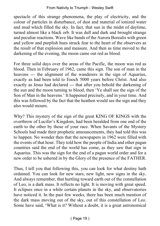spectacle of this strange phenomena, the play of electricity, and the colour of particles in disturbance, of dust and material of ionized water and mud which filled the sky. In fact, that sun in the midst of daytime, turned almost like a black orb. It was dull and dark and brought strange and peculiar reactions. Wave like bands of the Aurora Borealis with green and yellow and purplish hues struck fear to the heart of the observers as the result of that explosion and measure. And then as time moved to the darkening of the evening, the moon came out red as blood.

For three solid days over the areas of the Pacific, the moon was red as blood. Then in February of 1962, came this sign. The son of man in the heavens --- the alignment of the wanderers in the sign of Aquarius, exactly as had been told to Enoch 5000 years before Christ. And also exactly as Jesus had declared --- that after you behold the darkening of the sun and the moon turning to blood, then 'Ye shall see the sign of the Son of Man in the heavens.' It happened precisely, and in your time. And this was followed by the fact that the heathen would see the sign and they also would mourn.

Why? This mystery of the sign of the great KING OF KINGS with the overthrow of Lucifer's Kingdom, had been heralded from one end of the earth to the other by those of your race. When Savants of the Mystery Schools had made their prophetic announcements, they had told this was to happen. No wonder then that the newspapers in 1962 were filled with the events of that hour. They told how the people of India and other pagan countries said the end of the world has come, as they saw that sign in Aquarius. This was the sign for the end of a pagan world order and for a new order to be ushered in by the Glory of the presence of the FATHER.

Thus, I tell you that following this, you can look for what destiny hath ordained. You can look for new stars, new light, new signs in the sky. And always remember, that hurtling toward earth out of the constellation of Leo, is a dark mass. It reflects no light. It is moving with great speed. It eclipses once in a while certain planets in the sky, and observatories have noticed it. In the past few weeks, there has been much mention of the dark mass moving out of the sky, out of this constellation of Leo. Some have said, 'What is it? Without a doubt, it is a great astronomical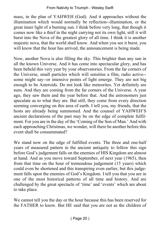mass, in the plan of YAHWEH (God). And it approaches without the illumination which would normally be reflection--illumination, or the great inner light of a burning sun. I think before very long, that though it comes now like a thief in the night carrying not its own light, still it will burst into the Nova of the greatest glory of all time. I think it is another majestic nova, that the world shall know. And when you see it burst, you will know that the hour has arrived, the announcement is being made.

Now, another Nova is also filling the sky. This brighter than any sun in all the known Universe. And it has come into spectacular glory, and has been beheld this very year by your observatories. From the far corners of the Universe, small particles which will sensitise a film, radio active- some might say--or intensive points of light emerge. They are not big enough to be Asteroids. Do not look like meteorites. Yet definitely are suns. And they are coming from the far corners of the Universe. A year ago, they saw them and the year before that. And the astronomers just speculate as to what they are. But still, they come from every direction seeming converging on this area of earth. I tell you, my friends, that the hosts are already being summoned. And the counsel of YAHWEH'S ancient declarations of the past may be on the edge of complete fulfilment. For you are in the day of the 'Coming of the Son of Man.' And with each approaching Christmas, we wonder, will there be another before this event shall be consummated?

We stand now on the edge of fulfilled events. The three and one-half years of measured pattern in the ancient antiquity to follow this sign before God's judgement falls on the enemies of HIS Kingdom are almost at hand. And as you move toward September, of next year (1965), then from that time on the hour of tremendous judgement (15 years) which could even be shortened and this transpiring even earlier, but this judgement falls upon the enemies of God's Kingdom. I tell you that you are in one of the most historical patterns of all time and history. And are challenged by the great spectacle of 'time' and 'events' which are about to take place.

We cannot tell you the day or the hour because this has been reserved for the FATHER to know. But HE said that you are not as the children of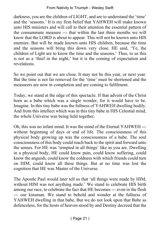darkness, you are the children of LIGHT, and are to understand the 'time' and the 'seasons.' It is my firm belief that YAHWEH will make known unto HIS ministers and will call to their attention the essential pattern of the consummate measure --- that within the last three months we will know that the LORD is about to appear. This will not be known unto HIS enemies. But will be made known unto HIS children, because the time and the seasons will bring this down very close. HE said, 'Ye, the children of Light are to know the time and the seasons.' Thus, to us this is not as a 'thief in the night,' but it is the coming of expectation and revelations.

So we point out that we are close. It may not be this year, or next year. But the time is not far removed for the 'time' must be shortened and the measurers are now in completion and are coming to fulfilment.

Today, we stand at the edge of this spectacle. If that advent of the Christ born as a babe which was a single wonder, for it would have to be. Imagine. In this tiny babe was the fullness of YAHWEH dwelling bodily. And from this intellect which was in this tiny babe in HIS Celestial mind, the whole Universe was being held together.

Oh, this was no infant mind. It was the mind of the Eternal YAHWEH -- without beginning of days or end of life. The consciousness of this physical body growing up was the consciousness of a babe. The soul consciousness of this body could reach back to the spirit and forward unto the senses. For HE was 'tempted in all things' like as you are. Dwelling in a physical body, HE could know pain, could know suffering, could know the anguish, could know the coldness with which friends could turn on HIM, could know all these things. But at no time was lost the cognition that HE was Master of the Universe.

The Apostle Paul would later tell us that 'all things were made by HIM, without HIM was not anything made.' We stand to celebrate HIS birth among our race, to celebrate the fact that HE becomes --- even in the flesh --- our kinsman. We stand to behold and wonder at the fullness of YAHWEH dwelling in that babe. But we do not look upon that Babe as defenceless, for the hosts of heaven stood by and Destiny decreed that the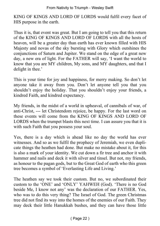#### From Nativity to Triumph - Wesley Swift

KING OF KINGS AND LORD OF LORDS would fulfil every facet of HIS purpose in the earth.

Thus it is, that event was great. But I am going to tell you that this return of the KING OF KINGS AND LORD OF LORDS with all the hosts of heaven, will be a greater day than earth has ever known filled with HIS Majesty and novas of the sky bursting with Glory which outshines the conjunctions of Saturn and Jupiter. We stand on the edge of a great new day, a new era of light. For the FATHER will say, 'I want the world to know that you are MY children, My sons, and MY daughters, and that I delight in thee.'

This is your time for joy and happiness, for merry making. So don't let anyone take it away from you. Don't let anyone tell you that you shouldn't enjoy the holiday. That you shouldn't enjoy your friends, a kindred Faith, and kindred expectancy.

My friends, in the midst of a world in upheaval, of cannibals of war, of anti-Christ, --- let Christendom rejoice, be happy. For the last word on these events will come from the KING OF KINGS AND LORD OF LORDS when the trumpet blasts this next time. I can assure you that it is with such Faith that you possess your soul.

Yes, there is a day which is ahead like no day the world has ever witnesses. And so as we fulfil the prophecy of Jeremiah, we even duplicate things the heathen had done. But make no mistake about it, for this is also a mark of your identity. We cut down a fir tree and anchor it with hammer and nails and deck it with silver and tinsel. But not, my friends, as honour to the pagan gods, but to the Great God of earth who this green tree becomes a symbol of 'Everlasting Life and Living.'

The heathen say we took their custom. But no, we subordinated their custom to the 'ONE' and 'ONLY' YAHWEH (God). 'There is no God beside Me, I know not any' was the declaration of our FATHER. Yes, who was to do this very thing? The Israel of God. The green Christmas tree did not find its way into the homes of the enemies of our Faith. They may deck their little Hanukkah bushes, and they can have those little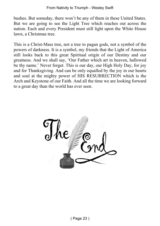bushes. But someday, there won't be any of them in these United States. But we are going to see the Light Tree which reaches out across the nation. Each and every President must still light upon the White House lawn, a Christmas tree.

This is a Christ-Mass tree, not a tree to pagan gods, not a symbol of the powers of darkness. It is a symbol, my friends that the Light of America still looks back to this great Spiritual origin of our Destiny and our greatness. And we shall say, 'Our Father which art in heaven, hallowed be thy name.' Never forget. This is our day, our High Holy Day, for joy and for Thanksgiving. And can be only equalled by the joy in our hearts and soul at the mighty power of HIS RESURRECTION which is the Arch and Keystone of our Faith. And all the time we are looking forward to a great day than the world has ever seen.